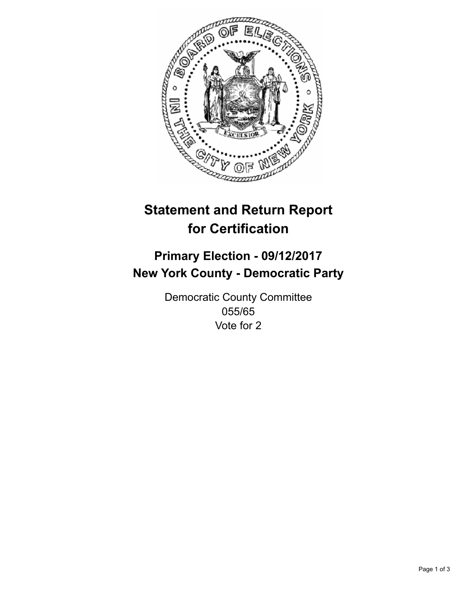

## **Statement and Return Report for Certification**

## **Primary Election - 09/12/2017 New York County - Democratic Party**

Democratic County Committee 055/65 Vote for 2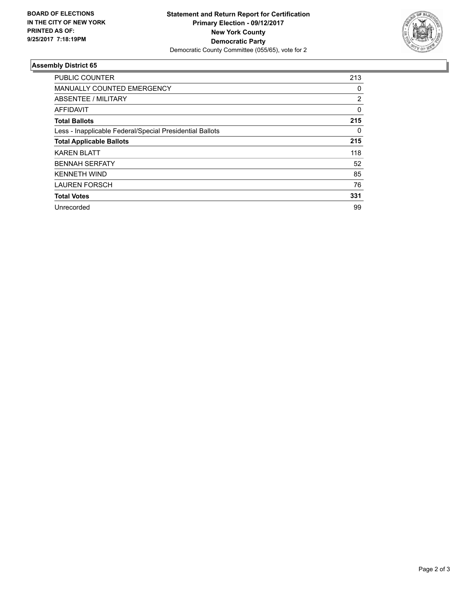

## **Assembly District 65**

| <b>PUBLIC COUNTER</b>                                    | 213      |
|----------------------------------------------------------|----------|
| MANUALLY COUNTED EMERGENCY                               | 0        |
| ABSENTEE / MILITARY                                      | 2        |
| AFFIDAVIT                                                | $\Omega$ |
| <b>Total Ballots</b>                                     | 215      |
| Less - Inapplicable Federal/Special Presidential Ballots | 0        |
| <b>Total Applicable Ballots</b>                          | 215      |
| <b>KAREN BLATT</b>                                       | 118      |
| <b>BENNAH SERFATY</b>                                    | 52       |
| <b>KENNETH WIND</b>                                      | 85       |
| <b>LAUREN FORSCH</b>                                     | 76       |
| <b>Total Votes</b>                                       | 331      |
| Unrecorded                                               | 99       |